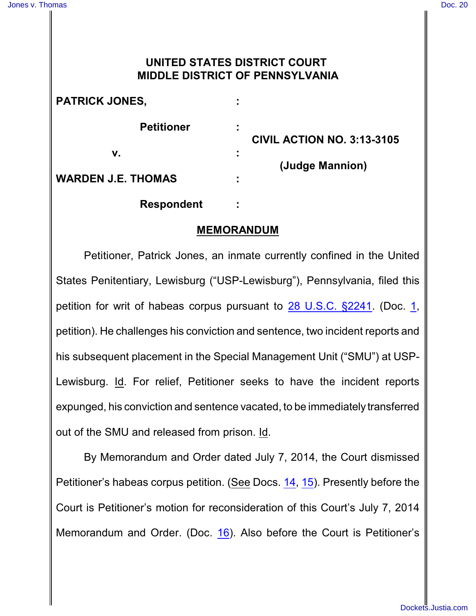## **UNITED STATES DISTRICT COURT MIDDLE DISTRICT OF PENNSYLVANIA**

| <b>PATRICK JONES,</b>     |   | <b>CIVIL ACTION NO. 3:13-3105</b> |
|---------------------------|---|-----------------------------------|
| <b>Petitioner</b>         | ÷ |                                   |
| ν.                        | ÷ |                                   |
| <b>WARDEN J.E. THOMAS</b> | ٠ | (Judge Mannion)                   |
| <b>Respondent</b>         |   |                                   |

## **MEMORANDUM**

Petitioner, Patrick Jones, an inmate currently confined in the United States Penitentiary, Lewisburg ("USP-Lewisburg"), Pennsylvania, filed this petition for writ of habeas corpus pursuant to [28 U.S.C.](http://westlaw.com/find/default.wl?ft=L&docname=28USCAS2241&rs=btil2.0&rp=%2ffind%2fdefault.wl&fn=_top&findtype=L&vr=2.0&db=1000546&wbtoolsId=28USCAS2241&HistoryType=F) §2241. (Doc. [1](http://ecf.pamd.uscourts.gov/doc1/15504087718), petition). He challenges his conviction and sentence, two incident reports and his subsequent placement in the Special Management Unit ("SMU") at USP-Lewisburg. Id. For relief, Petitioner seeks to have the incident reports expunged, his conviction and sentence vacated, to be immediately transferred out of the SMU and released from prison. Id.

By Memorandum and Order dated July 7, 2014, the Court dismissed Petitioner's habeas corpus petition. (See Docs. [14](http://ecf.pamd.uscourts.gov/doc1/15504091561), [15](http://ecf.pamd.uscourts.gov/doc1/15504091561)). Presently before the Court is Petitioner's motion for reconsideration of this Court's July 7, 2014 Memorandum and Order. (Doc. [16](http://ecf.pamd.uscourts.gov/doc1/15504091561)). Also before the Court is Petitioner's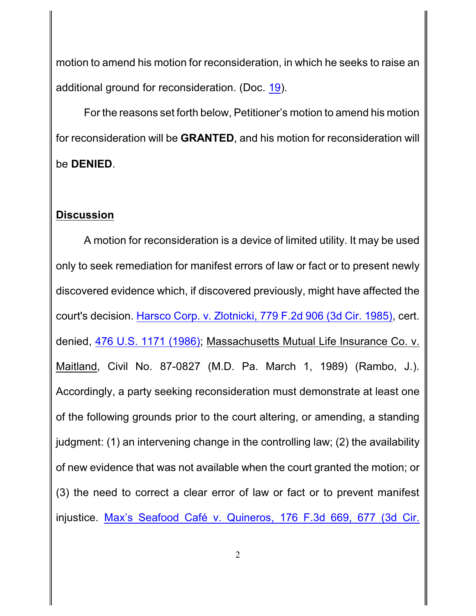motion to amend his motion for reconsideration, in which he seeks to raise an additional ground for reconsideration. (Doc. [19](http://ecf.pamd.uscourts.gov/doc1/15504878442)).

For the reasons set forth below, Petitioner's motion to amend his motion for reconsideration will be **GRANTED**, and his motion for reconsideration will be **DENIED**.

## **Discussion**

A motion for reconsideration is a device of limited utility. It may be used only to seek remediation for manifest errors of law or fact or to present newly discovered evidence which, if discovered previously, might have affected the court's decision. Harsco Corp. v. Zlotnicki, [779 F.2d 906 \(3d Cir.](http://westlaw.com/find/default.wl?ft=Y&db=0000350&rs=btil2.0&rp=%2ffind%2fdefault.wl&serialnum=1985161470&fn=_top&findtype=Y&vr=2.0&wbtoolsId=1985161470&HistoryType=F) 1985), cert. denied, 476 U.S. [1171 \(1986\)](http://westlaw.com/find/default.wl?ft=L&docname=476US1171&rs=btil2.0&rp=%2ffind%2fdefault.wl&fn=_top&findtype=L&vr=2.0&db=0000780&wbtoolsId=476US1171&HistoryType=F); Massachusetts Mutual Life Insurance Co. v. Maitland, Civil No. 87-0827 (M.D. Pa. March 1, 1989) (Rambo, J.). Accordingly, a party seeking reconsideration must demonstrate at least one of the following grounds prior to the court altering, or amending, a standing judgment: (1) an intervening change in the controlling law; (2) the availability of new evidence that was not available when the court granted the motion; or (3) the need to correct a clear error of law or fact or to prevent manifest injustice. Max's [Seafood Café v.](http://westlaw.com/find/default.wl?ft=Y&referencepositiontype=S&rs=btil2.0&rp=%2ffind%2fdefault.wl&serialnum=1999120202&fn=_top&referenceposition=677&findtype=Y&vr=2.0&db=0000506&wbtoolsId=1999120202&HistoryType=F) Quineros, 176 F.3d 669, 677 (3d Cir.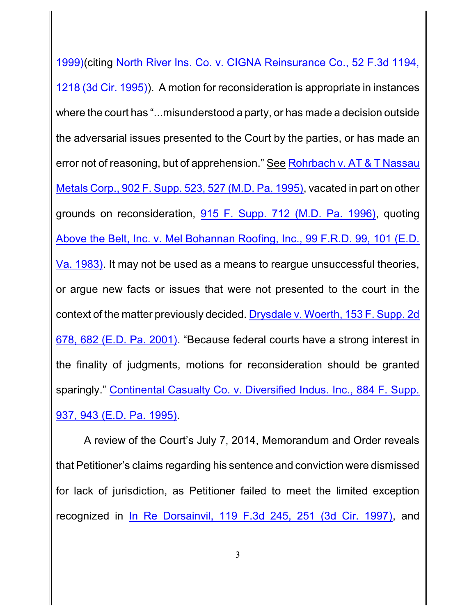1999)(citing North River Ins. Co. [v. CIGNA Reinsurance Co.,](http://westlaw.com/find/default.wl?ft=Y&referencepositiontype=S&rs=btil2.0&rp=%2ffind%2fdefault.wl&serialnum=1995087998&fn=_top&referenceposition=1218&findtype=Y&vr=2.0&db=0000506&wbtoolsId=1995087998&HistoryType=F) 52 F.3d 1194, [1218 \(3d Cir.](http://westlaw.com/find/default.wl?ft=Y&referencepositiontype=S&rs=btil2.0&rp=%2ffind%2fdefault.wl&serialnum=1995087998&fn=_top&referenceposition=1218&findtype=Y&vr=2.0&db=0000506&wbtoolsId=1995087998&HistoryType=F) 1995)). A motion for reconsideration is appropriate in instances where the court has "...misunderstood a party, or has made a decision outside the adversarial issues presented to the Court by the parties, or has made an error not of reasoning, but of apprehension." See Rohrbach v. [AT & T Nassau](http://westlaw.com/find/default.wl?ft=Y&referencepositiontype=S&rs=btil2.0&rp=%2ffind%2fdefault.wl&serialnum=1995217107&fn=_top&referenceposition=527&findtype=Y&vr=2.0&db=0000345&wbtoolsId=1995217107&HistoryType=F) Metals Corp., 902 F. Supp. 523, [527 \(M.D.](http://westlaw.com/find/default.wl?ft=Y&referencepositiontype=S&rs=btil2.0&rp=%2ffind%2fdefault.wl&serialnum=1995217107&fn=_top&referenceposition=527&findtype=Y&vr=2.0&db=0000345&wbtoolsId=1995217107&HistoryType=F) Pa. 1995), vacated in part on other grounds on reconsideration, 915 F. Supp. [712 \(M.D.](http://westlaw.com/find/default.wl?ft=Y&db=0000345&rs=btil2.0&rp=%2ffind%2fdefault.wl&serialnum=1996057852&fn=_top&findtype=Y&vr=2.0&wbtoolsId=1996057852&HistoryType=F) Pa. 1996), quoting Above the Belt, Inc. [v. Mel Bohannan Roofing, Inc., 99 F.R.D. 99,](http://westlaw.com/find/default.wl?ft=Y&referencepositiontype=S&rs=btil2.0&rp=%2ffind%2fdefault.wl&serialnum=1983141942&fn=_top&referenceposition=101&findtype=Y&vr=2.0&db=0000344&wbtoolsId=1983141942&HistoryType=F) 101 (E.D. Va. [1983\)](http://westlaw.com/find/default.wl?ft=Y&referencepositiontype=S&rs=btil2.0&rp=%2ffind%2fdefault.wl&serialnum=1983141942&fn=_top&referenceposition=101&findtype=Y&vr=2.0&db=0000344&wbtoolsId=1983141942&HistoryType=F). It may not be used as a means to reargue unsuccessful theories, or argue new facts or issues that were not presented to the court in the context of the matter previously decided. [Drysdale v.](http://westlaw.com/find/default.wl?ft=Y&referencepositiontype=S&rs=btil2.0&rp=%2ffind%2fdefault.wl&serialnum=2001670173&fn=_top&referenceposition=682&findtype=Y&vr=2.0&db=0004637&wbtoolsId=2001670173&HistoryType=F) Woerth, 153 F. Supp. 2d 678, [682 \(E.D.](http://westlaw.com/find/default.wl?ft=Y&referencepositiontype=S&rs=btil2.0&rp=%2ffind%2fdefault.wl&serialnum=2001670173&fn=_top&referenceposition=682&findtype=Y&vr=2.0&db=0004637&wbtoolsId=2001670173&HistoryType=F) Pa. 2001). "Because federal courts have a strong interest in the finality of judgments, motions for reconsideration should be granted sparingly." [Continental Casualty](http://westlaw.com/find/default.wl?ft=Y&referencepositiontype=S&rs=btil2.0&rp=%2ffind%2fdefault.wl&serialnum=1995103965&fn=_top&referenceposition=943&findtype=Y&vr=2.0&db=0000345&wbtoolsId=1995103965&HistoryType=F) Co. v. Diversified Indus. Inc., 884 F. Supp. 937, [943 \(E.D.](http://westlaw.com/find/default.wl?ft=Y&referencepositiontype=S&rs=btil2.0&rp=%2ffind%2fdefault.wl&serialnum=1995103965&fn=_top&referenceposition=943&findtype=Y&vr=2.0&db=0000345&wbtoolsId=1995103965&HistoryType=F) Pa. 1995).

A review of the Court's July 7, 2014, Memorandum and Order reveals that Petitioner's claims regarding his sentence and conviction were dismissed for lack of jurisdiction, as Petitioner failed to meet the limited exception recognized in [In Re Dorsainvil,](http://westlaw.com/find/default.wl?ft=Y&referencepositiontype=S&rs=btil2.0&rp=%2ffind%2fdefault.wl&serialnum=1997155460&fn=_top&referenceposition=251&findtype=Y&vr=2.0&db=0000506&wbtoolsId=1997155460&HistoryType=F) 119 F.3d 245, 251 (3d Cir. 1997), and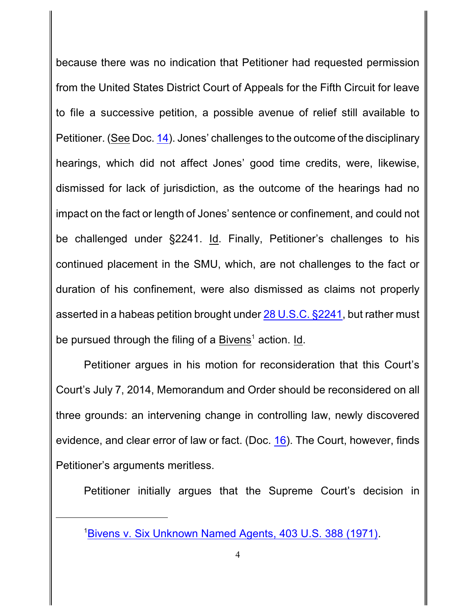because there was no indication that Petitioner had requested permission from the United States District Court of Appeals for the Fifth Circuit for leave to file a successive petition, a possible avenue of relief still available to Petitioner. (See Doc. [14](http://ecf.pamd.uscourts.gov/doc1/15504703247)). Jones' challenges to the outcome of the disciplinary hearings, which did not affect Jones' good time credits, were, likewise, dismissed for lack of jurisdiction, as the outcome of the hearings had no impact on the fact or length of Jones' sentence or confinement, and could not be challenged under §2241. Id. Finally, Petitioner's challenges to his continued placement in the SMU, which, are not challenges to the fact or duration of his confinement, were also dismissed as claims not properly asserted in a habeas petition brought under [28 U.S.C.](http://westlaw.com/find/default.wl?ft=L&docname=28USCAS2241&rs=btil2.0&rp=%2ffind%2fdefault.wl&fn=_top&findtype=L&vr=2.0&db=1000546&wbtoolsId=28USCAS2241&HistoryType=F) §2241, but rather must be pursued through the filing of a Bivens<sup>1</sup> action. Id.

Petitioner argues in his motion for reconsideration that this Court's Court's July 7, 2014, Memorandum and Order should be reconsidered on all three grounds: an intervening change in controlling law, newly discovered evidence, and clear error of law or fact. (Doc. [16](http://ecf.pamd.uscourts.gov/doc1/15504742172)). The Court, however, finds Petitioner's arguments meritless.

Petitioner initially argues that the Supreme Court's decision in

<sup>1</sup>Bivens v. Six [Unknown Named Agents,](http://westlaw.com/find/default.wl?ft=Y&db=0000780&rs=btil2.0&rp=%2ffind%2fdefault.wl&serialnum=1971127105&fn=_top&findtype=Y&vr=2.0&wbtoolsId=1971127105&HistoryType=F) 403 U.S. 388 (1971).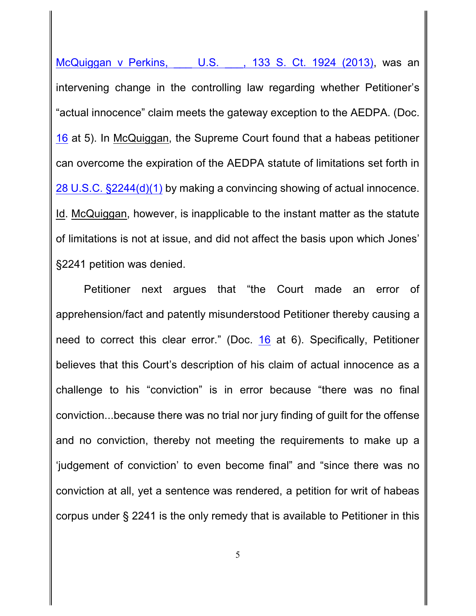[McQuiggan v](http://westlaw.com/find/default.wl?ft=Y&db=0000708&rs=btil2.0&rp=%2ffind%2fdefault.wl&serialnum=2030616482&fn=_top&findtype=Y&vr=2.0&wbtoolsId=2030616482&HistoryType=F) Perkins, \_\_\_ U.S. \_\_\_, 133 S. Ct. 1924 (2013), was an intervening change in the controlling law regarding whether Petitioner's "actual innocence" claim meets the gateway exception to the AEDPA. (Doc. [16](http://ecf.pamd.uscourts.gov/doc1/15504742172) at 5). In McQuiggan, the Supreme Court found that a habeas petitioner can overcome the expiration of the AEDPA statute of limitations set forth in 28 U.S.C. [§2244\(d\)\(1\)](http://westlaw.com/find/default.wl?ft=L&docname=28USCAS2244&rs=btil2.0&rp=%2ffind%2fdefault.wl&fn=_top&findtype=L&vr=2.0&db=1000546&wbtoolsId=28USCAS2244&HistoryType=F) by making a convincing showing of actual innocence. Id. McQuiggan, however, is inapplicable to the instant matter as the statute of limitations is not at issue, and did not affect the basis upon which Jones' §2241 petition was denied.

Petitioner next argues that "the Court made an error of apprehension/fact and patently misunderstood Petitioner thereby causing a need to correct this clear error." (Doc. [16](http://ecf.pamd.uscourts.gov/doc1/15504742172) at 6). Specifically, Petitioner believes that this Court's description of his claim of actual innocence as a challenge to his "conviction" is in error because "there was no final conviction...because there was no trial nor jury finding of guilt for the offense and no conviction, thereby not meeting the requirements to make up a 'judgement of conviction' to even become final" and "since there was no conviction at all, yet a sentence was rendered, a petition for writ of habeas corpus under § 2241 is the only remedy that is available to Petitioner in this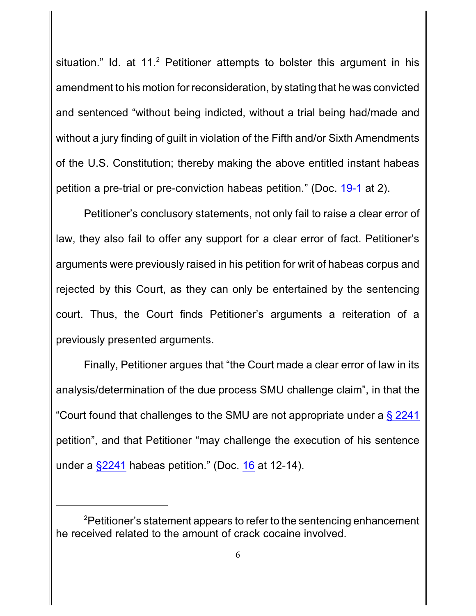situation." Id. at  $11<sup>2</sup>$  Petitioner attempts to bolster this argument in his amendment to his motion for reconsideration, by stating that he was convicted and sentenced "without being indicted, without a trial being had/made and without a jury finding of guilt in violation of the Fifth and/or Sixth Amendments of the U.S. Constitution; thereby making the above entitled instant habeas petition a pre-trial or pre-conviction habeas petition." (Doc. [19-1](http://ecf.pamd.uscourts.gov/doc1/15504878442) at 2).

Petitioner's conclusory statements, not only fail to raise a clear error of law, they also fail to offer any support for a clear error of fact. Petitioner's arguments were previously raised in his petition for writ of habeas corpus and rejected by this Court, as they can only be entertained by the sentencing court. Thus, the Court finds Petitioner's arguments a reiteration of a previously presented arguments.

Finally, Petitioner argues that "the Court made a clear error of law in its analysis/determination of the due process SMU challenge claim", in that the "Court found that challenges to the SMU are not appropriate under a  $\S 2241$ petition", and that Petitioner "may challenge the execution of his sentence under a  $\S2241$  habeas petition." (Doc. [16](http://ecf.pamd.uscourts.gov/doc1/15504742172) at 12-14).

<sup>&</sup>lt;sup>2</sup>Petitioner's statement appears to refer to the sentencing enhancement he received related to the amount of crack cocaine involved.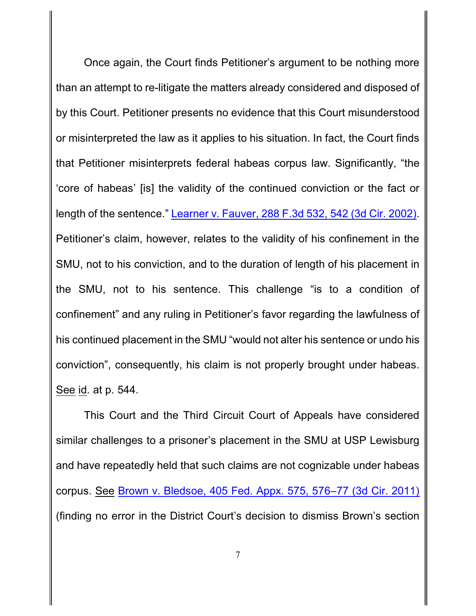Once again, the Court finds Petitioner's argument to be nothing more than an attempt to re-litigate the matters already considered and disposed of by this Court. Petitioner presents no evidence that this Court misunderstood or misinterpreted the law as it applies to his situation. In fact, the Court finds that Petitioner misinterprets federal habeas corpus law. Significantly, "the 'core of habeas' [is] the validity of the continued conviction or the fact or length of the sentence." Learner v. Fauver, [288 F.3d 532,](http://westlaw.com/find/default.wl?ft=Y&referencepositiontype=S&rs=btil2.0&rp=%2ffind%2fdefault.wl&serialnum=2002252736&fn=_top&referenceposition=542&findtype=Y&vr=2.0&db=0000506&wbtoolsId=2002252736&HistoryType=F) 542 (3d Cir. 2002). Petitioner's claim, however, relates to the validity of his confinement in the SMU, not to his conviction, and to the duration of length of his placement in the SMU, not to his sentence. This challenge "is to a condition of confinement" and any ruling in Petitioner's favor regarding the lawfulness of his continued placement in the SMU "would not alter his sentence or undo his conviction", consequently, his claim is not properly brought under habeas. See id. at p. 544.

This Court and the Third Circuit Court of Appeals have considered similar challenges to a prisoner's placement in the SMU at USP Lewisburg and have repeatedly held that such claims are not cognizable under habeas corpus. See Brown v. Bledsoe, 405 Fed. Appx. 575, [576–77 \(3d Cir.](http://westlaw.com/find/default.wl?ft=Y&referencepositiontype=S&rs=btil2.0&rp=%2ffind%2fdefault.wl&serialnum=2024362123&fn=_top&referenceposition=576&findtype=Y&vr=2.0&db=0006538&wbtoolsId=2024362123&HistoryType=F) 2011) (finding no error in the District Court's decision to dismiss Brown's section